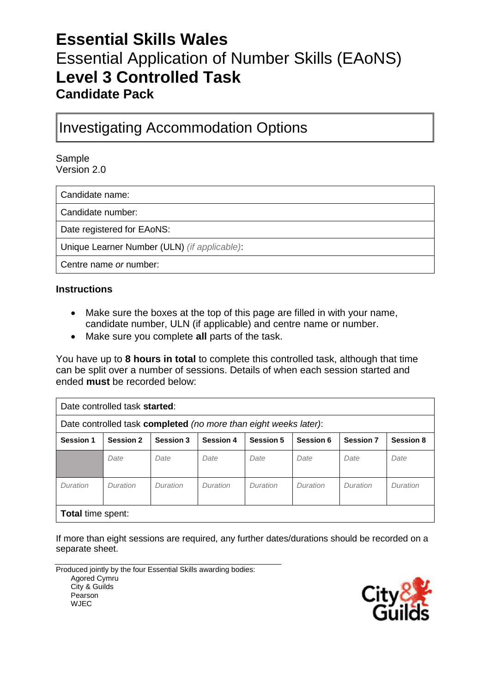# **Essential Skills Wales** Essential Application of Number Skills (EAoNS) **Level 3 Controlled Task Candidate Pack**

# Investigating Accommodation Options

Sample Version 2.0

Candidate name:

Candidate number:

Date registered for EAoNS:

Unique Learner Number (ULN) *(if applicable)*:

Centre name *or* number:

#### **Instructions**

- Make sure the boxes at the top of this page are filled in with your name, candidate number, ULN (if applicable) and centre name or number.
- Make sure you complete **all** parts of the task.

You have up to **8 hours in total** to complete this controlled task, although that time can be split over a number of sessions. Details of when each session started and ended **must** be recorded below:

| Date controlled task started:                                    |                  |                  |                  |                  |           |                  |                  |
|------------------------------------------------------------------|------------------|------------------|------------------|------------------|-----------|------------------|------------------|
| Date controlled task completed (no more than eight weeks later): |                  |                  |                  |                  |           |                  |                  |
| <b>Session 1</b>                                                 | <b>Session 2</b> | <b>Session 3</b> | <b>Session 4</b> | <b>Session 5</b> | Session 6 | <b>Session 7</b> | <b>Session 8</b> |
|                                                                  | Date             | Date             | Date             | Date             | Date      | Date             | Date             |
| Duration                                                         | Duration         | Duration         | Duration         | Duration         | Duration  | Duration         | Duration         |
| <b>Total time spent:</b>                                         |                  |                  |                  |                  |           |                  |                  |

If more than eight sessions are required, any further dates/durations should be recorded on a separate sheet.

Produced jointly by the four Essential Skills awarding bodies: Agored Cymru City & Guilds Pearson WJEC

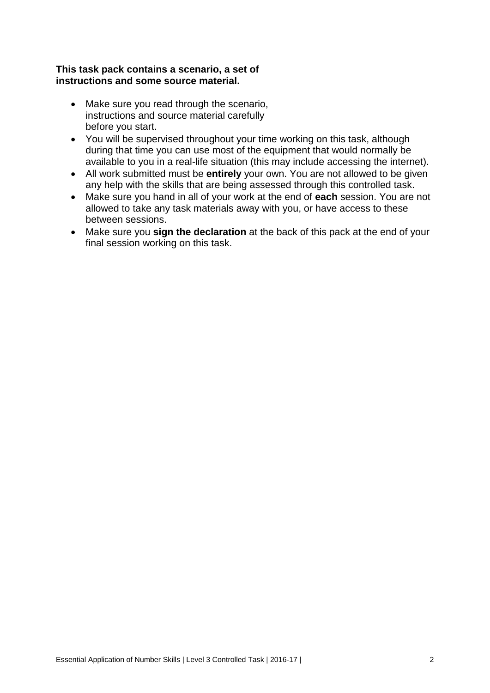#### **This task pack contains a scenario, a set of instructions and some source material.**

- Make sure you read through the scenario, instructions and source material carefully before you start.
- You will be supervised throughout your time working on this task, although during that time you can use most of the equipment that would normally be available to you in a real-life situation (this may include accessing the internet).
- All work submitted must be **entirely** your own. You are not allowed to be given any help with the skills that are being assessed through this controlled task.
- Make sure you hand in all of your work at the end of **each** session. You are not allowed to take any task materials away with you, or have access to these between sessions.
- Make sure you **sign the declaration** at the back of this pack at the end of your final session working on this task.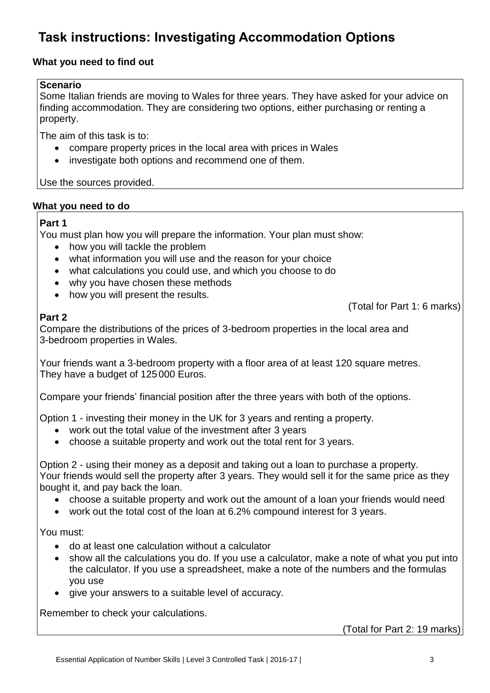# **Task instructions: Investigating Accommodation Options**

## **What you need to find out**

#### **Scenario**

Some Italian friends are moving to Wales for three years. They have asked for your advice on finding accommodation. They are considering two options, either purchasing or renting a property.

The aim of this task is to:

- compare property prices in the local area with prices in Wales
- investigate both options and recommend one of them.

Use the sources provided.

#### **What you need to do**

#### **Part 1**

You must plan how you will prepare the information. Your plan must show:

- how you will tackle the problem
- what information you will use and the reason for your choice
- what calculations you could use, and which you choose to do
- why you have chosen these methods
- how you will present the results.

### **Part 2**

(Total for Part 1: 6 marks)

Compare the distributions of the prices of 3-bedroom properties in the local area and 3-bedroom properties in Wales.

Your friends want a 3-bedroom property with a floor area of at least 120 square metres. They have a budget of 125000 Euros.

Compare your friends' financial position after the three years with both of the options.

Option 1 - investing their money in the UK for 3 years and renting a property.

- work out the total value of the investment after 3 years
- choose a suitable property and work out the total rent for 3 years.

Option 2 - using their money as a deposit and taking out a loan to purchase a property. Your friends would sell the property after 3 years. They would sell it for the same price as they bought it, and pay back the loan.

- choose a suitable property and work out the amount of a loan your friends would need
- work out the total cost of the loan at 6.2% compound interest for 3 years.

You must:

- do at least one calculation without a calculator
- show all the calculations you do. If you use a calculator, make a note of what you put into the calculator. If you use a spreadsheet, make a note of the numbers and the formulas you use
- give your answers to a suitable level of accuracy.

Remember to check your calculations.

(Total for Part 2: 19 marks)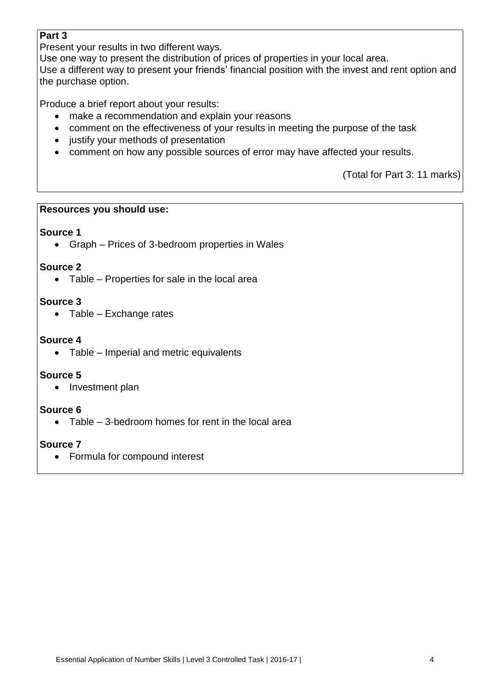## **Part 3**

Present your results in two different ways.

Use one way to present the distribution of prices of properties in your local area.

Use a different way to present your friends' financial position with the invest and rent option and the purchase option.

Produce a brief report about your results:

- make a recommendation and explain your reasons
- comment on the effectiveness of your results in meeting the purpose of the task
- justify your methods of presentation
- comment on how any possible sources of error may have affected your results.

(Total for Part 3: 11 marks)

### **Resources you should use:**

### **Source 1**

Graph – Prices of 3-bedroom properties in Wales

### **Source 2**

• Table – Properties for sale in the local area

### **Source 3**

 $\bullet$  Table – Exchange rates

### **Source 4**

• Table – Imperial and metric equivalents

#### **Source 5**

• Investment plan

## **Source 6**

• Table – 3-bedroom homes for rent in the local area

## **Source 7**

Formula for compound interest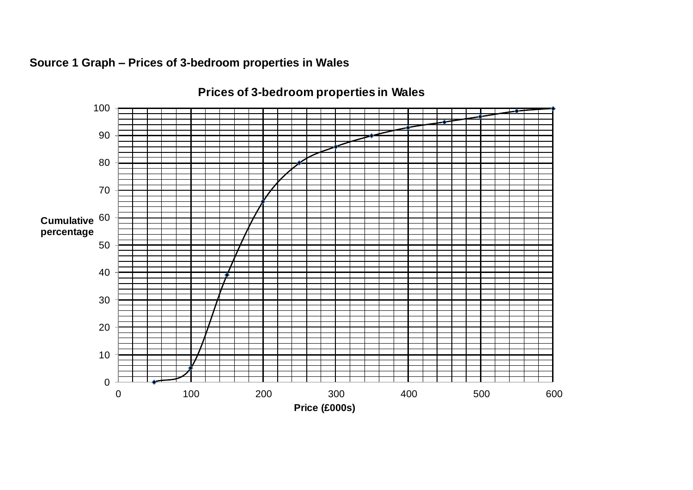

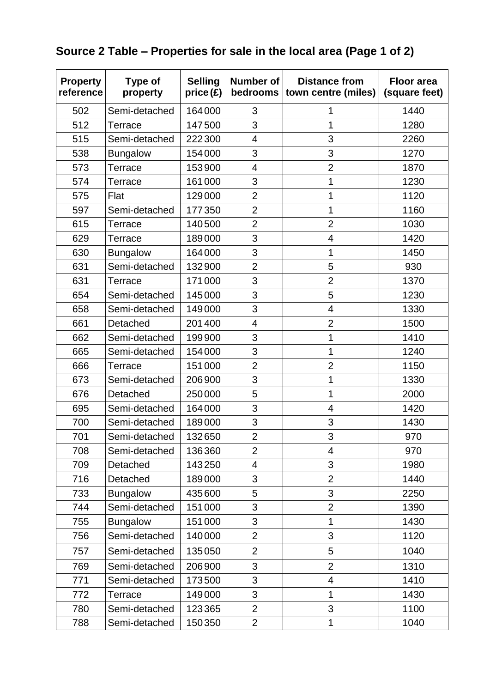# **Source 2 Table – Properties for sale in the local area (Page 1 of 2)**

| <b>Property</b><br>reference | Type of<br>property | <b>Selling</b><br>price (£) | <b>Number of</b><br>bedrooms | <b>Distance from</b><br>town centre (miles) | <b>Floor area</b><br>(square feet) |
|------------------------------|---------------------|-----------------------------|------------------------------|---------------------------------------------|------------------------------------|
| 502                          | Semi-detached       | 164000                      | 3                            | 1                                           | 1440                               |
| 512                          | Terrace             | 147500                      | 3                            | 1                                           | 1280                               |
| 515                          | Semi-detached       | 222300                      | 4                            | 3                                           | 2260                               |
| 538                          | <b>Bungalow</b>     | 154000                      | 3                            | 3                                           | 1270                               |
| 573                          | <b>Terrace</b>      | 153900                      | $\overline{\mathcal{A}}$     | $\overline{2}$                              | 1870                               |
| 574                          | Terrace             | 161000                      | 3                            | 1                                           | 1230                               |
| 575                          | Flat                | 129000                      | $\overline{2}$               | 1                                           | 1120                               |
| 597                          | Semi-detached       | 177350                      | $\overline{2}$               | $\mathbf 1$                                 | 1160                               |
| 615                          | Terrace             | 140500                      | $\overline{2}$               | $\overline{2}$                              | 1030                               |
| 629                          | Terrace             | 189000                      | 3                            | 4                                           | 1420                               |
| 630                          | <b>Bungalow</b>     | 164000                      | 3                            | 1                                           | 1450                               |
| 631                          | Semi-detached       | 132900                      | $\overline{2}$               | 5                                           | 930                                |
| 631                          | Terrace             | 171000                      | 3                            | $\overline{2}$                              | 1370                               |
| 654                          | Semi-detached       | 145000                      | 3                            | 5                                           | 1230                               |
| 658                          | Semi-detached       | 149000                      | 3                            | 4                                           | 1330                               |
| 661                          | Detached            | 201400                      | $\overline{\mathbf{4}}$      | $\overline{2}$                              | 1500                               |
| 662                          | Semi-detached       | 199900                      | 3                            | 1                                           | 1410                               |
| 665                          | Semi-detached       | 154000                      | 3                            | 1                                           | 1240                               |
| 666                          | Terrace             | 151000                      | $\overline{2}$               | $\overline{2}$                              | 1150                               |
| 673                          | Semi-detached       | 206900                      | 3                            | 1                                           | 1330                               |
| 676                          | Detached            | 250000                      | 5                            | 1                                           | 2000                               |
| 695                          | Semi-detached       | 164000                      | 3                            | 4                                           | 1420                               |
| 700                          | Semi-detached       | 189000                      | 3                            | 3                                           | 1430                               |
| 701                          | Semi-detached       | 132650                      | $\overline{2}$               | 3                                           | 970                                |
| 708                          | Semi-detached       | 136360                      | $\overline{2}$               | 4                                           | 970                                |
| 709                          | Detached            | 143250                      | $\overline{\mathcal{A}}$     | 3                                           | 1980                               |
| 716                          | Detached            | 189000                      | 3                            | $\overline{2}$                              | 1440                               |
| 733                          | <b>Bungalow</b>     | 435600                      | 5                            | 3                                           | 2250                               |
| 744                          | Semi-detached       | 151000                      | 3                            | $\overline{2}$                              | 1390                               |
| 755                          | <b>Bungalow</b>     | 151000                      | 3                            | 1                                           | 1430                               |
| 756                          | Semi-detached       | 140000                      | $\overline{2}$               | 3                                           | 1120                               |
| 757                          | Semi-detached       | 135050                      | $\overline{2}$               | 5                                           | 1040                               |
| 769                          | Semi-detached       | 206900                      | 3                            | $\overline{2}$                              | 1310                               |
| 771                          | Semi-detached       | 173500                      | 3                            | $\overline{4}$                              | 1410                               |
| 772                          | Terrace             | 149000                      | 3                            | $\mathbf 1$                                 | 1430                               |
| 780                          | Semi-detached       | 123365                      | $\overline{2}$               | 3                                           | 1100                               |
| 788                          | Semi-detached       | 150350                      | $\overline{2}$               | $\mathbf 1$                                 | 1040                               |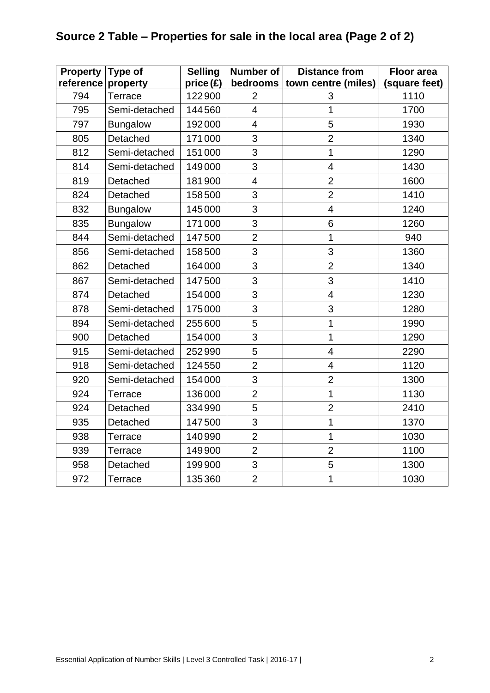# **Source 2 Table – Properties for sale in the local area (Page 2 of 2)**

| <b>Property</b>    | Type of         | <b>Selling</b> | Number of               | <b>Distance from</b>     | <b>Floor area</b> |
|--------------------|-----------------|----------------|-------------------------|--------------------------|-------------------|
| reference property |                 | price(f)       | bedrooms                | town centre (miles)      | (square feet)     |
| 794                | Terrace         | 122900         | $\overline{2}$          | 3                        | 1110              |
| 795                | Semi-detached   | 144560         | $\overline{4}$          | $\overline{1}$           | 1700              |
| 797                | <b>Bungalow</b> | 192000         | $\overline{\mathbf{4}}$ | 5                        | 1930              |
| 805                | Detached        | 171000         | 3                       | $\overline{2}$           | 1340              |
| 812                | Semi-detached   | 151000         | 3                       | $\overline{1}$           | 1290              |
| 814                | Semi-detached   | 149000         | 3                       | $\overline{\mathcal{A}}$ | 1430              |
| 819                | Detached        | 181900         | $\overline{\mathbf{4}}$ | $\overline{2}$           | 1600              |
| 824                | Detached        | 158500         | 3                       | $\overline{2}$           | 1410              |
| 832                | <b>Bungalow</b> | 145000         | 3                       | $\overline{\mathcal{A}}$ | 1240              |
| 835                | <b>Bungalow</b> | 171000         | 3                       | 6                        | 1260              |
| 844                | Semi-detached   | 147500         | $\overline{2}$          | $\mathbf 1$              | 940               |
| 856                | Semi-detached   | 158500         | 3                       | 3                        | 1360              |
| 862                | Detached        | 164000         | 3                       | $\overline{2}$           | 1340              |
| 867                | Semi-detached   | 147500         | 3                       | 3                        | 1410              |
| 874                | Detached        | 154000         | 3                       | $\overline{\mathbf{4}}$  | 1230              |
| 878                | Semi-detached   | 175000         | 3                       | 3                        | 1280              |
| 894                | Semi-detached   | 255600         | 5                       | $\mathbf 1$              | 1990              |
| 900                | Detached        | 154000         | 3                       | $\overline{1}$           | 1290              |
| 915                | Semi-detached   | 252990         | 5                       | $\overline{4}$           | 2290              |
| 918                | Semi-detached   | 124550         | $\overline{2}$          | $\overline{4}$           | 1120              |
| 920                | Semi-detached   | 154000         | 3                       | $\overline{2}$           | 1300              |
| 924                | <b>Terrace</b>  | 136000         | $\overline{2}$          | $\overline{1}$           | 1130              |
| 924                | Detached        | 334990         | 5                       | $\overline{2}$           | 2410              |
| 935                | Detached        | 147500         | 3                       | $\mathbf 1$              | 1370              |
| 938                | Terrace         | 140990         | $\overline{2}$          | $\overline{1}$           | 1030              |
| 939                | Terrace         | 149900         | $\overline{2}$          | $\overline{2}$           | 1100              |
| 958                | Detached        | 199900         | 3                       | 5                        | 1300              |
| 972                | Terrace         | 135360         | $\overline{2}$          | $\mathbf 1$              | 1030              |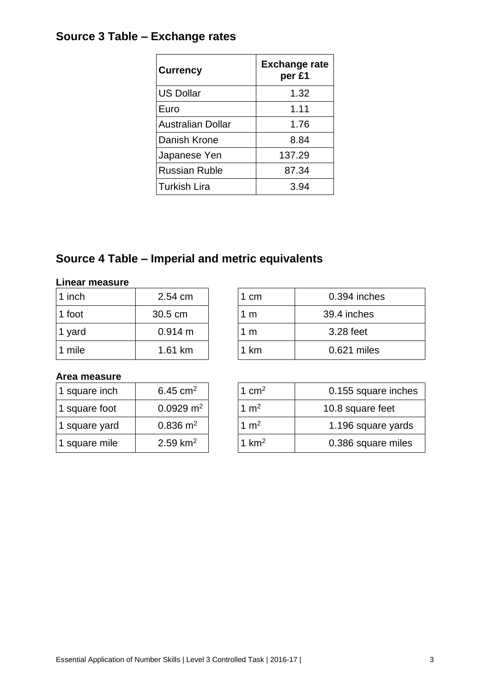# **Source 3 Table – Exchange rates**

| <b>Currency</b>          | <b>Exchange rate</b><br>per £1 |
|--------------------------|--------------------------------|
| <b>US Dollar</b>         | 1.32                           |
| Euro                     | 1.11                           |
| <b>Australian Dollar</b> | 1.76                           |
| Danish Krone             | 8.84                           |
| Japanese Yen             | 137.29                         |
| <b>Russian Ruble</b>     | 87.34                          |
| <b>Turkish Lira</b>      | 3.94                           |

# **Source 4 Table – Imperial and metric equivalents**

#### **Linear measure**

| 1 inch | 2.54 cm | .cm | 0.394 inches |
|--------|---------|-----|--------------|
| 1 foot | 30.5 cm | 1 M | 39.4 inches  |
| 1 yard | 0.914 m | m   | 3.28 feet    |
| 1 mile | 1.61 km | km  | 0.621 miles  |

| 0.394 inches |
|--------------|
| 39.4 inches  |
| 3.28 feet    |
| 0.621 miles  |
|              |

#### **Area measure**

| 1 square inch | 6.45 $cm2$             |
|---------------|------------------------|
| 1 square foot | $0.0929 \; \text{m}^2$ |
| 1 square yard | $0.836 \; \text{m}^2$  |
| 1 square mile | $2.59 \text{ km}^2$    |

| 1 square inch | 6.45 $cm2$              | 1 $\text{cm}^2$ | 0.155 square inches |
|---------------|-------------------------|-----------------|---------------------|
| 1 square foot | $0.0929 \text{ m}^2$    | 1 $m2$          | 10.8 square feet    |
| 1 square yard | $0.836 \; \mathrm{m}^2$ | 1 $m2$          | 1.196 square yards  |
| 1 square mile | $2.59 \text{ km}^2$     | 1 $km2$         | 0.386 square miles  |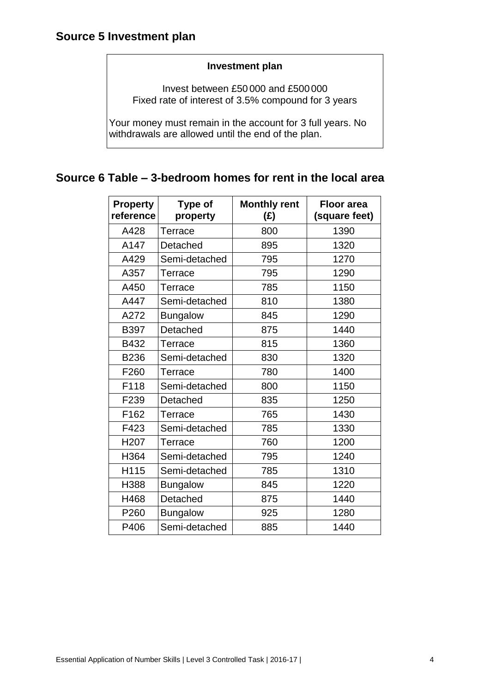#### **Investment plan**

Invest between £50 000 and £500000 Fixed rate of interest of 3.5% compound for 3 years

Your money must remain in the account for 3 full years. No withdrawals are allowed until the end of the plan.

## **Source 6 Table – 3-bedroom homes for rent in the local area**

| <b>Property</b><br>reference | Type of<br>property | <b>Monthly rent</b><br>$(\hat{z})$ | <b>Floor area</b><br>(square feet) |
|------------------------------|---------------------|------------------------------------|------------------------------------|
| A428                         | Terrace             | 800                                | 1390                               |
| A147                         | Detached            | 895                                | 1320                               |
| A429                         | Semi-detached       | 795                                | 1270                               |
| A357                         | Terrace             | 795                                | 1290                               |
| A450                         | Terrace             | 785                                | 1150                               |
| A447                         | Semi-detached       | 810                                | 1380                               |
| A272                         | <b>Bungalow</b>     | 845                                | 1290                               |
| <b>B397</b>                  | Detached            | 875                                | 1440                               |
| B432                         | Terrace             | 815                                | 1360                               |
| <b>B236</b>                  | Semi-detached       | 830                                | 1320                               |
| F260                         | Terrace             | 780                                | 1400                               |
| F118                         | Semi-detached       | 800                                | 1150                               |
| F <sub>239</sub>             | Detached            | 835                                | 1250                               |
| F162                         | Terrace             | 765                                | 1430                               |
| F423                         | Semi-detached       | 785                                | 1330                               |
| H <sub>20</sub> 7            | <b>Terrace</b>      | 760                                | 1200                               |
| H364                         | Semi-detached       | 795                                | 1240                               |
| H115                         | Semi-detached       | 785                                | 1310                               |
| H388                         | <b>Bungalow</b>     | 845                                | 1220                               |
| H468                         | Detached            | 875                                | 1440                               |
| P <sub>260</sub>             | <b>Bungalow</b>     | 925                                | 1280                               |
| P406                         | Semi-detached       | 885                                | 1440                               |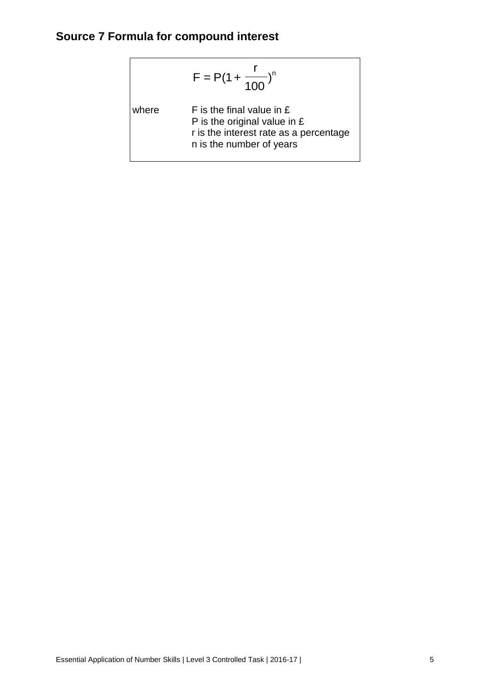# **Source 7 Formula for compound interest**

$$
F = P(1 + \frac{r}{100})^n
$$

where  $F$  is the final value in  $E$ P is the original value in £ r is the interest rate as a percentage n is the number of years